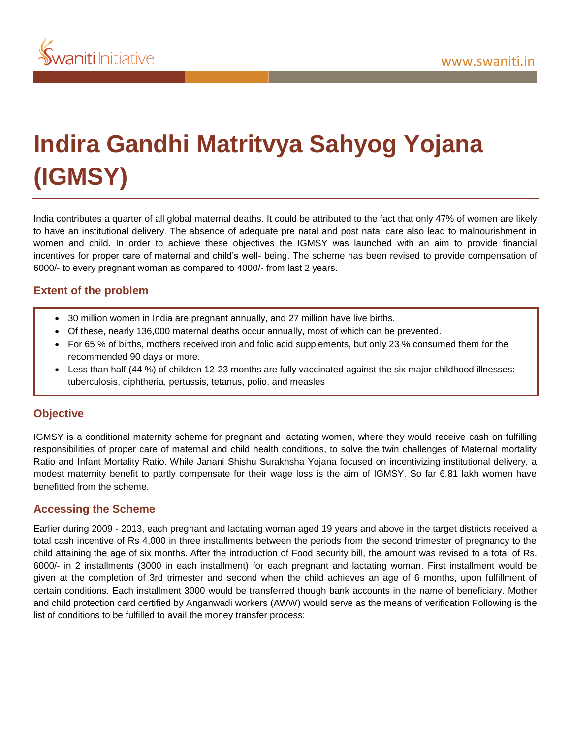

# **Indira Gandhi Matritvya Sahyog Yojana (IGMSY)**

India contributes a quarter of all global maternal deaths. It could be attributed to the fact that only 47% of women are likely to have an institutional delivery. The absence of adequate pre natal and post natal care also lead to malnourishment in women and child. In order to achieve these objectives the IGMSY was launched with an aim to provide financial incentives for proper care of maternal and child's well- being. The scheme has been revised to provide compensation of 6000/- to every pregnant woman as compared to 4000/- from last 2 years.

## **Extent of the problem**

- 30 million women in India are pregnant annually, and 27 million have live births.
- Of these, nearly 136,000 maternal deaths occur annually, most of which can be prevented.
- For 65 % of births, mothers received iron and folic acid supplements, but only 23 % consumed them for the recommended 90 days or more.
- Less than half (44 %) of children 12-23 months are fully vaccinated against the six major childhood illnesses: tuberculosis, diphtheria, pertussis, tetanus, polio, and measles

#### **Objective**

IGMSY is a conditional maternity scheme for pregnant and lactating women, where they would receive cash on fulfilling responsibilities of proper care of maternal and child health conditions, to solve the twin challenges of Maternal mortality Ratio and Infant Mortality Ratio. While Janani Shishu Surakhsha Yojana focused on incentivizing institutional delivery, a modest maternity benefit to partly compensate for their wage loss is the aim of IGMSY. So far 6.81 lakh women have benefitted from the scheme.

#### **Accessing the Scheme**

Earlier during 2009 - 2013, each pregnant and lactating woman aged 19 years and above in the target districts received a total cash incentive of Rs 4,000 in three installments between the periods from the second trimester of pregnancy to the child attaining the age of six months. After the introduction of Food security bill, the amount was revised to a total of Rs. 6000/- in 2 installments (3000 in each installment) for each pregnant and lactating woman. First installment would be given at the completion of 3rd trimester and second when the child achieves an age of 6 months, upon fulfillment of certain conditions. Each installment 3000 would be transferred though bank accounts in the name of beneficiary. Mother and child protection card certified by Anganwadi workers (AWW) would serve as the means of verification Following is the list of conditions to be fulfilled to avail the money transfer process: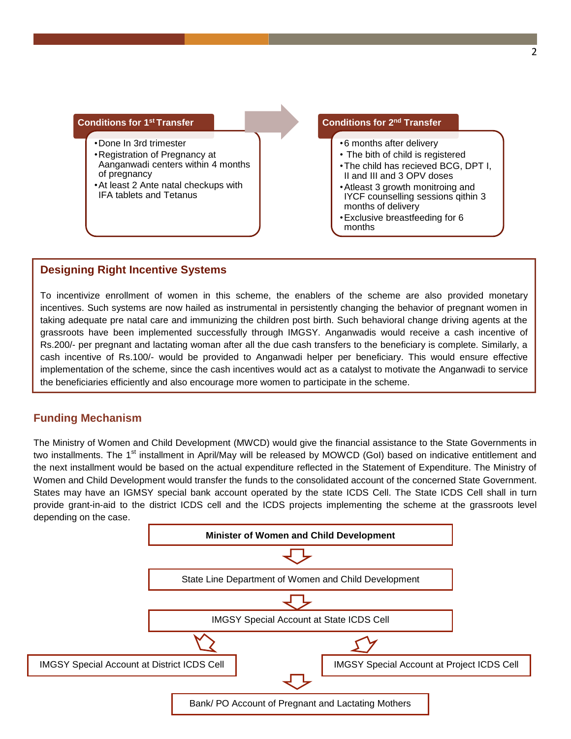# **Conditions for 1st Transfer**

- •Done In 3rd trimester •Registration of Pregnancy at
- Aanganwadi centers within 4 months of pregnancy
- •At least 2 Ante natal checkups with IFA tablets and Tetanus

### **Conditions for 2nd Transfer** •6 months after delivery • The bith of child is registered •The child has recieved BCG, DPT I,

- II and III and 3 OPV doses •Atleast 3 growth monitroing and
- IYCF counselling sessions qithin 3 months of delivery
- •Exclusive breastfeeding for 6 months

# **Designing Right Incentive Systems**

To incentivize enrollment of women in this scheme, the enablers of the scheme are also provided monetary incentives. Such systems are now hailed as instrumental in persistently changing the behavior of pregnant women in taking adequate pre natal care and immunizing the children post birth. Such behavioral change driving agents at the grassroots have been implemented successfully through IMGSY. Anganwadis would receive a cash incentive of Rs.200/- per pregnant and lactating woman after all the due cash transfers to the beneficiary is complete. Similarly, a cash incentive of Rs.100/- would be provided to Anganwadi helper per beneficiary. This would ensure effective implementation of the scheme, since the cash incentives would act as a catalyst to motivate the Anganwadi to service the beneficiaries efficiently and also encourage more women to participate in the scheme.

# **Funding Mechanism**

The Ministry of Women and Child Development (MWCD) would give the financial assistance to the State Governments in two installments. The 1<sup>st</sup> installment in April/May will be released by MOWCD (GoI) based on indicative entitlement and the next installment would be based on the actual expenditure reflected in the Statement of Expenditure. The Ministry of Women and Child Development would transfer the funds to the consolidated account of the concerned State Government. States may have an IGMSY special bank account operated by the state ICDS Cell. The State ICDS Cell shall in turn provide grant-in-aid to the district ICDS cell and the ICDS projects implementing the scheme at the grassroots level depending on the case.

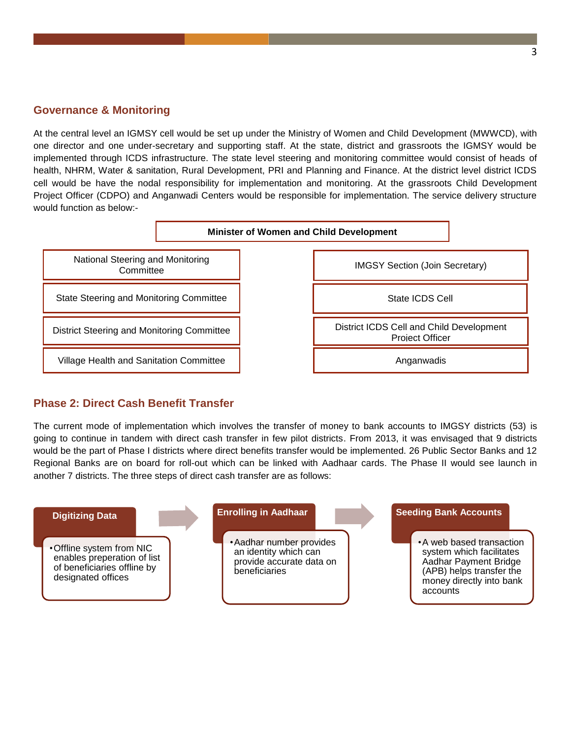#### **Governance & Monitoring**

At the central level an IGMSY cell would be set up under the Ministry of Women and Child Development (MWWCD), with one director and one under-secretary and supporting staff. At the state, district and grassroots the IGMSY would be implemented through ICDS infrastructure. The state level steering and monitoring committee would consist of heads of health, NHRM, Water & sanitation, Rural Development, PRI and Planning and Finance. At the district level district ICDS cell would be have the nodal responsibility for implementation and monitoring. At the grassroots Child Development Project Officer (CDPO) and Anganwadi Centers would be responsible for implementation. The service delivery structure would function as below:-



#### **Phase 2: Direct Cash Benefit Transfer**

The current mode of implementation which involves the transfer of money to bank accounts to IMGSY districts (53) is going to continue in tandem with direct cash transfer in few pilot districts. From 2013, it was envisaged that 9 districts would be the part of Phase I districts where direct benefits transfer would be implemented. 26 Public Sector Banks and 12 Regional Banks are on board for roll-out which can be linked with Aadhaar cards. The Phase II would see launch in another 7 districts. The three steps of direct cash transfer are as follows: